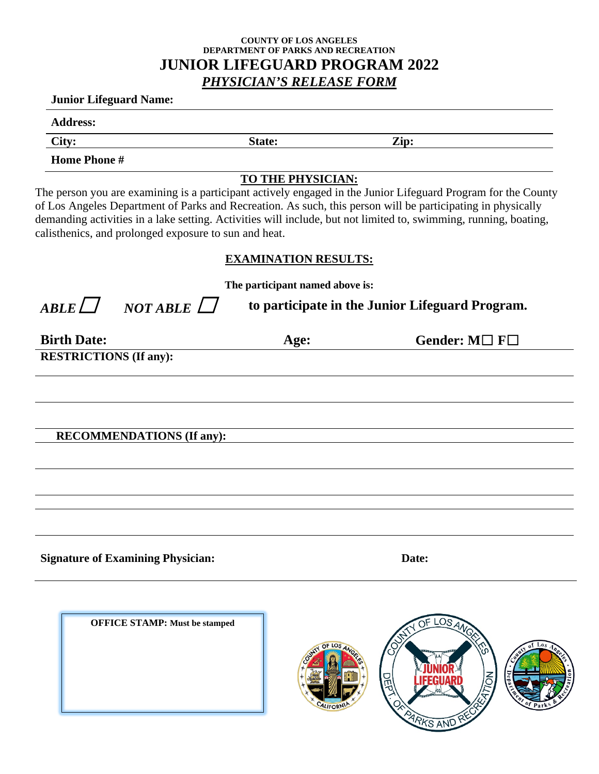## **COUNTY OF LOS ANGELES DEPARTMENT OF PARKS AND RECREATION JUNIOR LIFEGUARD PROGRAM 2022** *PHYSICIAN'S RELEASE FORM*

### **Junior Lifeguard Name:**

**Address:** 

**City: State: Zip:** 

**Home Phone #** 

# **TO THE PHYSICIAN:**

The person you are examining is a participant actively engaged in the Junior Lifeguard Program for the County of Los Angeles Department of Parks and Recreation. As such, this person will be participating in physically demanding activities in a lake setting. Activities will include, but not limited to, swimming, running, boating, calisthenics, and prolonged exposure to sun and heat.

# **EXAMINATION RESULTS:**

**The participant named above is:**

 $ARLE \Box$  *NOT ABLE*  $\Box$  to participate in the Junior Lifeguard Program.

| <b>Birth Date:</b>               | Age: | Gender: $M \Box F \Box$ |
|----------------------------------|------|-------------------------|
| <b>RESTRICTIONS (If any):</b>    |      |                         |
|                                  |      |                         |
|                                  |      |                         |
|                                  |      |                         |
| <b>RECOMMENDATIONS (If any):</b> |      |                         |

**Signature of Examining Physician: Date:**